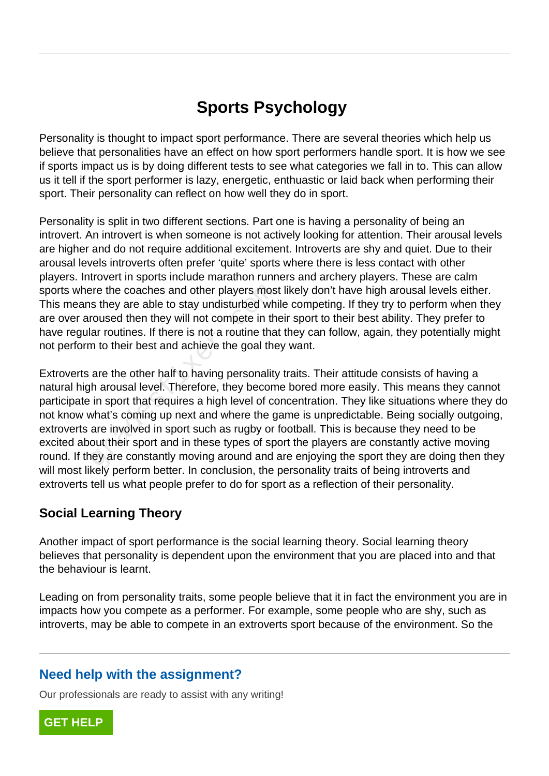# **Sports Psychology**

Personality is thought to impact sport performance. There are several theories which help us believe that personalities have an effect on how sport performers handle sport. It is how we see if sports impact us is by doing different tests to see what categories we fall in to. This can allow us it tell if the sport performer is lazy, energetic, enthuastic or laid back when performing their sport. Their personality can reflect on how well they do in sport.

Personality is split in two different sections. Part one is having a personality of being an introvert. An introvert is when someone is not actively looking for attention. Their arousal levels are higher and do not require additional excitement. Introverts are shy and quiet. Due to their arousal levels introverts often prefer 'quite' sports where there is less contact with other players. Introvert in sports include marathon runners and archery players. These are calm sports where the coaches and other players most likely don't have high arousal levels either. This means they are able to stay undisturbed while competing. If they try to perform when they are over aroused then they will not compete in their sport to their best ability. They prefer to have regular routines. If there is not a routine that they can follow, again, they potentially might not perform to their best and achieve the goal they want.

Extroverts are the other half to having personality traits. Their attitude consists of having a natural high arousal level. Therefore, they become bored more easily. This means they cannot participate in sport that requires a high level of concentration. They like situations where they do not know what's coming up next and where the game is unpredictable. Being socially outgoing, extroverts are involved in sport such as rugby or football. This is because they need to be excited about their sport and in these types of sport the players are constantly active moving round. If they are constantly moving around and are enjoying the sport they are doing then they will most likely perform better. In conclusion, the personality traits of being introverts and extroverts tell us what people prefer to do for sport as a reflection of their personality. ere the coaches and other players mostlest they are able to stay undisturbed whistonused then they will not compete in the lar routines. If there is not a routine that in to their best and achieve the goal the are the othe

## **Social Learning Theory**

Another impact of sport performance is the social learning theory. Social learning theory believes that personality is dependent upon the environment that you are placed into and that the behaviour is learnt.

Leading on from personality traits, some people believe that it in fact the environment you are in impacts how you compete as a performer. For example, some people who are shy, such as introverts, may be able to compete in an extroverts sport because of the environment. So the

## **Need help with the assignment?**

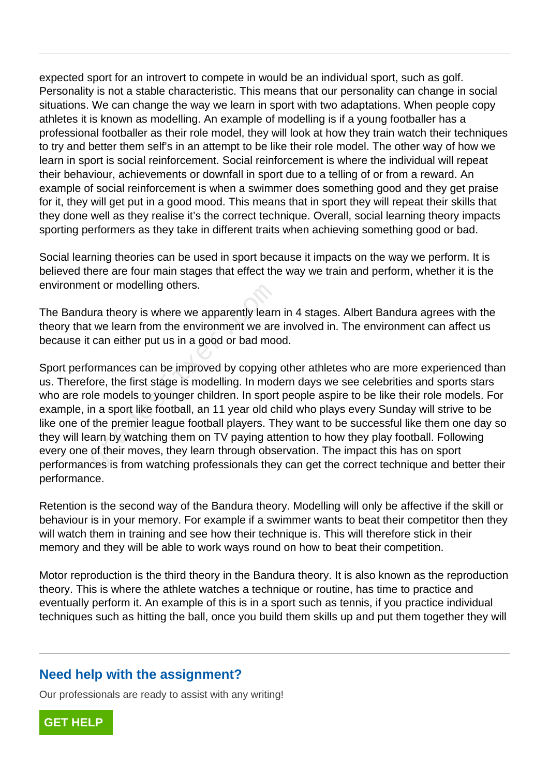expected sport for an introvert to compete in would be an individual sport, such as golf. Personality is not a stable characteristic. This means that our personality can change in social situations. We can change the way we learn in sport with two adaptations. When people copy athletes it is known as modelling. An example of modelling is if a young footballer has a professional footballer as their role model, they will look at how they train watch their techniques to try and better them self's in an attempt to be like their role model. The other way of how we learn in sport is social reinforcement. Social reinforcement is where the individual will repeat their behaviour, achievements or downfall in sport due to a telling of or from a reward. An example of social reinforcement is when a swimmer does something good and they get praise for it, they will get put in a good mood. This means that in sport they will repeat their skills that they done well as they realise it's the correct technique. Overall, social learning theory impacts sporting performers as they take in different traits when achieving something good or bad.

Social learning theories can be used in sport because it impacts on the way we perform. It is believed there are four main stages that effect the way we train and perform, whether it is the environment or modelling others.

The Bandura theory is where we apparently learn in 4 stages. Albert Bandura agrees with the theory that we learn from the environment we are involved in. The environment can affect us because it can either put us in a good or bad mood.

Sport performances can be improved by copying other athletes who are more experienced than us. Therefore, the first stage is modelling. In modern days we see celebrities and sports stars who are role models to younger children. In sport people aspire to be like their role models. For example, in a sport like football, an 11 year old child who plays every Sunday will strive to be like one of the premier league football players. They want to be successful like them one day so they will learn by watching them on TV paying attention to how they play football. Following every one of their moves, they learn through observation. The impact this has on sport performances is from watching professionals they can get the correct technique and better their performance. Intertion modelling others.<br>
The two learn from the environment we are<br>
can either put us in a good or bad mod<br>
pormances can be improved by copying<br>
ore, the first stage is modelling. In mod<br>
le models to younger children

Retention is the second way of the Bandura theory. Modelling will only be affective if the skill or behaviour is in your memory. For example if a swimmer wants to beat their competitor then they will watch them in training and see how their technique is. This will therefore stick in their memory and they will be able to work ways round on how to beat their competition.

Motor reproduction is the third theory in the Bandura theory. It is also known as the reproduction theory. This is where the athlete watches a technique or routine, has time to practice and eventually perform it. An example of this is in a sport such as tennis, if you practice individual techniques such as hitting the ball, once you build them skills up and put them together they will

#### **Need help with the assignment?**

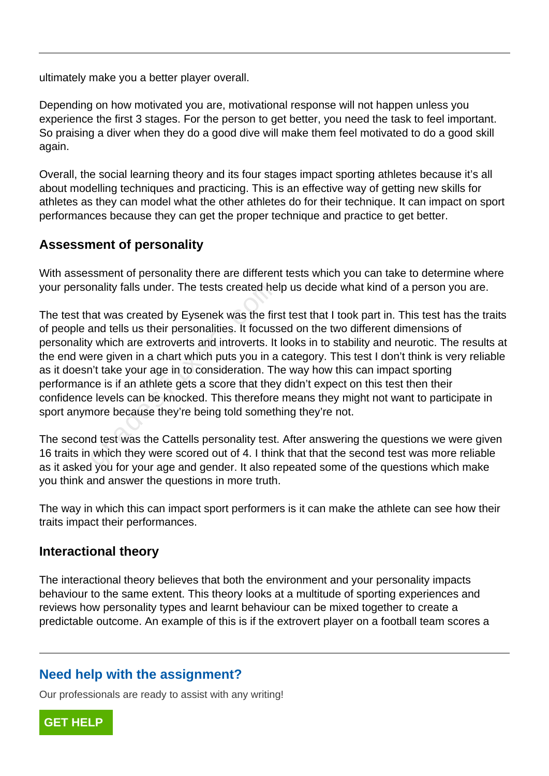ultimately make you a better player overall.

Depending on how motivated you are, motivational response will not happen unless you experience the first 3 stages. For the person to get better, you need the task to feel important. So praising a diver when they do a good dive will make them feel motivated to do a good skill again.

Overall, the social learning theory and its four stages impact sporting athletes because it's all about modelling techniques and practicing. This is an effective way of getting new skills for athletes as they can model what the other athletes do for their technique. It can impact on sport performances because they can get the proper technique and practice to get better.

### **Assessment of personality**

With assessment of personality there are different tests which you can take to determine where your personality falls under. The tests created help us decide what kind of a person you are.

The test that was created by Eysenek was the first test that I took part in. This test has the traits of people and tells us their personalities. It focussed on the two different dimensions of personality which are extroverts and introverts. It looks in to stability and neurotic. The results at the end were given in a chart which puts you in a category. This test I don't think is very reliable as it doesn't take your age in to consideration. The way how this can impact sporting performance is if an athlete gets a score that they didn't expect on this test then their confidence levels can be knocked. This therefore means they might not want to participate in sport anymore because they're being told something they're not. mality falls under. The tests created he<br>at was created by Eysenek was the firm<br>and tells us their personalities. It focuss<br>y which are extroverts and introverts. It<br>are given in a chart which puts you in a<br>n't take your a

The second test was the Cattells personality test. After answering the questions we were given 16 traits in which they were scored out of 4. I think that that the second test was more reliable as it asked you for your age and gender. It also repeated some of the questions which make you think and answer the questions in more truth.

The way in which this can impact sport performers is it can make the athlete can see how their traits impact their performances.

#### **Interactional theory**

The interactional theory believes that both the environment and your personality impacts behaviour to the same extent. This theory looks at a multitude of sporting experiences and reviews how personality types and learnt behaviour can be mixed together to create a predictable outcome. An example of this is if the extrovert player on a football team scores a

## **Need help with the assignment?**

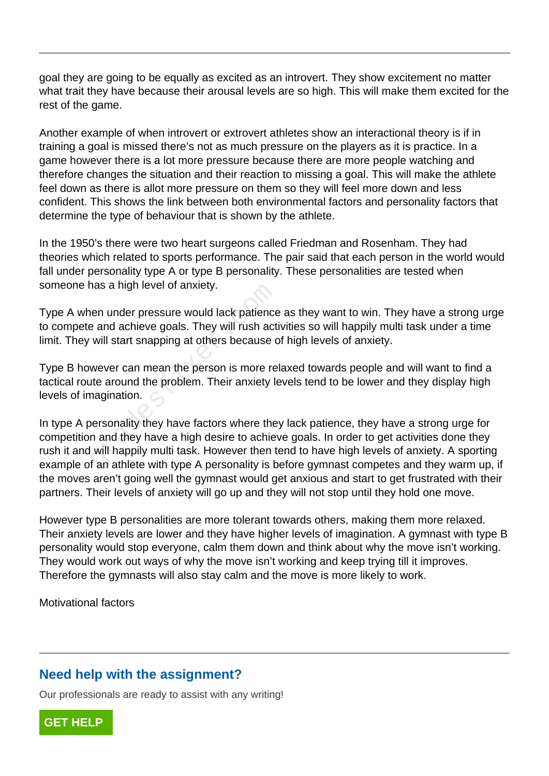goal they are going to be equally as excited as an introvert. They show excitement no matter what trait they have because their arousal levels are so high. This will make them excited for the rest of the game.

Another example of when introvert or extrovert athletes show an interactional theory is if in training a goal is missed there's not as much pressure on the players as it is practice. In a game however there is a lot more pressure because there are more people watching and therefore changes the situation and their reaction to missing a goal. This will make the athlete feel down as there is allot more pressure on them so they will feel more down and less confident. This shows the link between both environmental factors and personality factors that determine the type of behaviour that is shown by the athlete.

In the 1950's there were two heart surgeons called Friedman and Rosenham. They had theories which related to sports performance. The pair said that each person in the world would fall under personality type A or type B personality. These personalities are tested when someone has a high level of anxiety.

Type A when under pressure would lack patience as they want to win. They have a strong urge to compete and achieve goals. They will rush activities so will happily multi task under a time limit. They will start snapping at others because of high levels of anxiety.

Type B however can mean the person is more relaxed towards people and will want to find a tactical route around the problem. Their anxiety levels tend to be lower and they display high levels of imagination.

In type A personality they have factors where they lack patience, they have a strong urge for competition and they have a high desire to achieve goals. In order to get activities done they rush it and will happily multi task. However then tend to have high levels of anxiety. A sporting example of an athlete with type A personality is before gymnast competes and they warm up, if the moves aren't going well the gymnast would get anxious and start to get frustrated with their partners. Their levels of anxiety will go up and they will not stop until they hold one move. The under pressure would lack patience<br>and achieve goals. They will rush act<br>will start snapping at others because of<br>wever can mean the person is more re<br>the around the problem. Their anxiety le<br>nagination.<br>personality th

However type B personalities are more tolerant towards others, making them more relaxed. Their anxiety levels are lower and they have higher levels of imagination. A gymnast with type B personality would stop everyone, calm them down and think about why the move isn't working. They would work out ways of why the move isn't working and keep trying till it improves. Therefore the gymnasts will also stay calm and the move is more likely to work.

Motivational factors

#### **Need help with the assignment?**

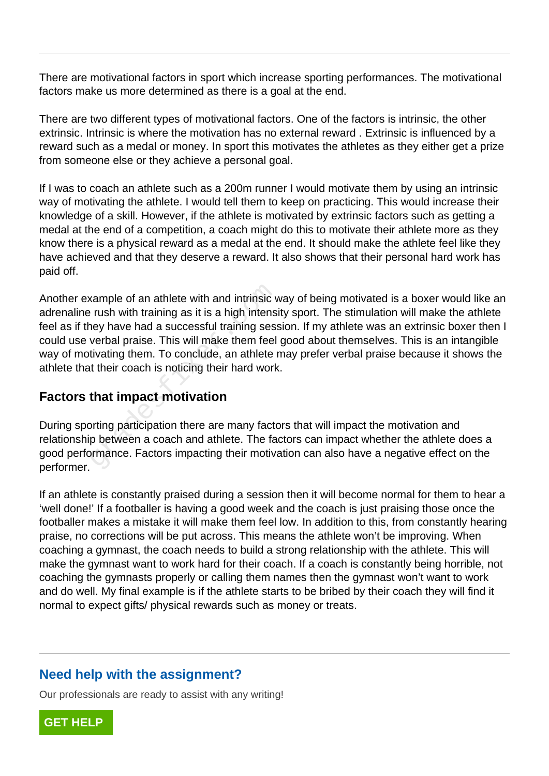There are motivational factors in sport which increase sporting performances. The motivational factors make us more determined as there is a goal at the end.

There are two different types of motivational factors. One of the factors is intrinsic, the other extrinsic. Intrinsic is where the motivation has no external reward . Extrinsic is influenced by a reward such as a medal or money. In sport this motivates the athletes as they either get a prize from someone else or they achieve a personal goal.

If I was to coach an athlete such as a 200m runner I would motivate them by using an intrinsic way of motivating the athlete. I would tell them to keep on practicing. This would increase their knowledge of a skill. However, if the athlete is motivated by extrinsic factors such as getting a medal at the end of a competition, a coach might do this to motivate their athlete more as they know there is a physical reward as a medal at the end. It should make the athlete feel like they have achieved and that they deserve a reward. It also shows that their personal hard work has paid off.

Another example of an athlete with and intrinsic way of being motivated is a boxer would like an adrenaline rush with training as it is a high intensity sport. The stimulation will make the athlete feel as if they have had a successful training session. If my athlete was an extrinsic boxer then I could use verbal praise. This will make them feel good about themselves. This is an intangible way of motivating them. To conclude, an athlete may prefer verbal praise because it shows the athlete that their coach is noticing their hard work. xample of an athlete with and intrinsic verush with training as it is a high intens<br>ney have had a successful training sess<br>verbal praise. This will make them feel<br>tivating them. To conclude, an athlete if<br>their coach is n

#### **Factors that impact motivation**

During sporting participation there are many factors that will impact the motivation and relationship between a coach and athlete. The factors can impact whether the athlete does a good performance. Factors impacting their motivation can also have a negative effect on the performer.

If an athlete is constantly praised during a session then it will become normal for them to hear a 'well done!' If a footballer is having a good week and the coach is just praising those once the footballer makes a mistake it will make them feel low. In addition to this, from constantly hearing praise, no corrections will be put across. This means the athlete won't be improving. When coaching a gymnast, the coach needs to build a strong relationship with the athlete. This will make the gymnast want to work hard for their coach. If a coach is constantly being horrible, not coaching the gymnasts properly or calling them names then the gymnast won't want to work and do well. My final example is if the athlete starts to be bribed by their coach they will find it normal to expect gifts/ physical rewards such as money or treats.

## **Need help with the assignment?**